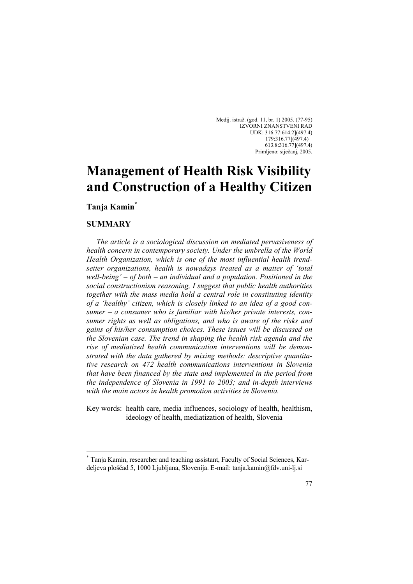Medij. istraž. (god. 11, br. 1) 2005. (77-95) IZVORNI ZNANSTVENI RAD UDK: 316.77:614.2](497.4) 179:316.77](497.4) 613.8:316.77](497.4) Primljeno: siječanj, 2005.

# **Management of Health Risk Visibility and Construction of a Healthy Citizen**

**Tanja Kamin\*** 

#### **SUMMARY**

 $\overline{a}$ 

 *The article is a sociological discussion on mediated pervasiveness of health concern in contemporary society. Under the umbrella of the World Health Organization, which is one of the most influential health trendsetter organizations, health is nowadays treated as a matter of 'total well-being' – of both – an individual and a population. Positioned in the social constructionism reasoning, I suggest that public health authorities*  together with the mass media hold a central role in constituting identity *of a 'healthy' citizen, which is closely linked to an idea of a good consumer – a consumer who is familiar with his/her private interests, consumer rights as well as obligations, and who is aware of the risks and gains of his/her consumption choices. These issues will be discussed on the Slovenian case. The trend in shaping the health risk agenda and the rise of mediatized health communication interventions will be demonstrated with the data gathered by mixing methods: descriptive quantitative research on 472 health communications interventions in Slovenia that have been financed by the state and implemented in the period from the independence of Slovenia in 1991 to 2003; and in-depth interviews with the main actors in health promotion activities in Slovenia.* 

Key words: health care, media influences, sociology of health, healthism, ideology of health, mediatization of health, Slovenia

<sup>\*</sup> Tanja Kamin, researcher and teaching assistant, Faculty of Social Sciences, Kardeljeva ploščad 5, 1000 Ljubljana, Slovenija. E-mail: tanja.kamin@fdv.uni-lj.si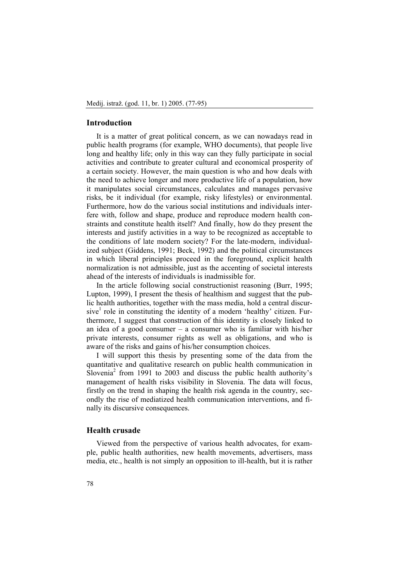#### **Introduction**

 It is a matter of great political concern, as we can nowadays read in public health programs (for example, WHO documents), that people live long and healthy life; only in this way can they fully participate in social activities and contribute to greater cultural and economical prosperity of a certain society. However, the main question is who and how deals with the need to achieve longer and more productive life of a population, how it manipulates social circumstances, calculates and manages pervasive risks, be it individual (for example, risky lifestyles) or environmental. Furthermore, how do the various social institutions and individuals interfere with, follow and shape, produce and reproduce modern health constraints and constitute health itself? And finally, how do they present the interests and justify activities in a way to be recognized as acceptable to the conditions of late modern society? For the late-modern, individualized subject (Giddens, 1991; Beck, 1992) and the political circumstances in which liberal principles proceed in the foreground, explicit health normalization is not admissible, just as the accenting of societal interests ahead of the interests of individuals is inadmissible for.

 In the article following social constructionist reasoning (Burr, 1995; Lupton, 1999), I present the thesis of healthism and suggest that the public health authorities, together with the mass media, hold a central discursive<sup>1</sup> role in constituting the identity of a modern 'healthy' citizen. Furthermore, I suggest that construction of this identity is closely linked to an idea of a good consumer – a consumer who is familiar with his/her private interests, consumer rights as well as obligations, and who is aware of the risks and gains of his/her consumption choices.

 I will support this thesis by presenting some of the data from the quantitative and qualitative research on public health communication in  $S$ lovenia<sup>2</sup> from 1991 to 2003 and discuss the public health authority's management of health risks visibility in Slovenia. The data will focus, firstly on the trend in shaping the health risk agenda in the country, secondly the rise of mediatized health communication interventions, and finally its discursive consequences.

## **Health crusade**

 Viewed from the perspective of various health advocates, for example, public health authorities, new health movements, advertisers, mass media, etc., health is not simply an opposition to ill-health, but it is rather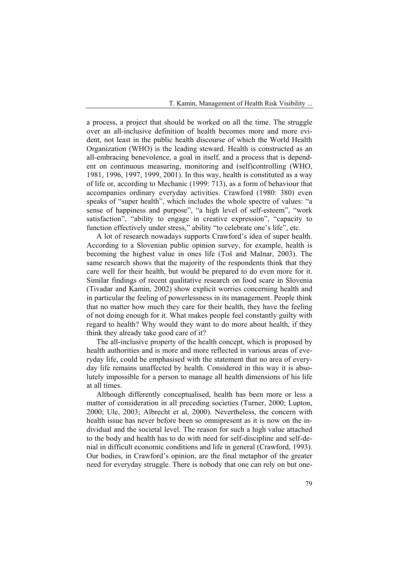a process, a project that should be worked on all the time. The struggle over an all-inclusive definition of health becomes more and more evident, not least in the public health discourse of which the World Health Organization (WHO) is the leading steward. Health is constructed as an all-embracing benevolence, a goal in itself, and a process that is dependent on continuous measuring, monitoring and (self)controlling (WHO, 1981, 1996, 1997, 1999, 2001). In this way, health is constituted as a way of life or, according to Mechanic (1999: 713), as a form of behaviour that accompanies ordinary everyday activities. Crawford (1980: 380) even speaks of "super health", which includes the whole spectre of values: "a sense of happiness and purpose", "a high level of self-esteem", "work satisfaction", "ability to engage in creative expression", "capacity to function effectively under stress," ability "to celebrate one's life", etc.

 A lot of research nowadays supports Crawford's idea of super health. According to a Slovenian public opinion survey, for example, health is becoming the highest value in ones life (Toš and Malnar, 2003). The same research shows that the majority of the respondents think that they care well for their health, but would be prepared to do even more for it. Similar findings of recent qualitative research on food scare in Slovenia (Tivadar and Kamin, 2002) show explicit worries concerning health and in particular the feeling of powerlessness in its management. People think that no matter how much they care for their health, they have the feeling of not doing enough for it. What makes people feel constantly guilty with regard to health? Why would they want to do more about health, if they think they already take good care of it?

 The all-inclusive property of the health concept, which is proposed by health authorities and is more and more reflected in various areas of everyday life, could be emphasised with the statement that no area of everyday life remains unaffected by health. Considered in this way it is absolutely impossible for a person to manage all health dimensions of his life at all times.

 Although differently conceptualised, health has been more or less a matter of consideration in all preceding societies (Turner, 2000; Lupton, 2000; Ule, 2003; Albrecht et al, 2000). Nevertheless, the concern with health issue has never before been so omnipresent as it is now on the individual and the societal level. The reason for such a high value attached to the body and health has to do with need for self-discipline and self-denial in difficult economic conditions and life in general (Crawford, 1993). Our bodies, in Crawford's opinion, are the final metaphor of the greater need for everyday struggle. There is nobody that one can rely on but one-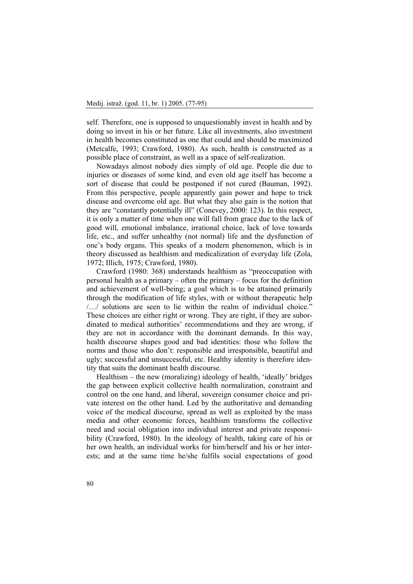self. Therefore, one is supposed to unquestionably invest in health and by doing so invest in his or her future. Like all investments, also investment in health becomes constituted as one that could and should be maximized (Metcalfe, 1993; Crawford, 1980). As such, health is constructed as a possible place of constraint, as well as a space of self-realization.

 Nowadays almost nobody dies simply of old age. People die due to injuries or diseases of some kind, and even old age itself has become a sort of disease that could be postponed if not cured (Bauman, 1992). From this perspective, people apparently gain power and hope to trick disease and overcome old age. But what they also gain is the notion that they are "constantly potentially ill" (Conevey, 2000: 123). In this respect, it is only a matter of time when one will fall from grace due to the lack of good will, emotional imbalance, irrational choice, lack of love towards life, etc., and suffer unhealthy (not normal) life and the dysfunction of one's body organs. This speaks of a modern phenomenon, which is in theory discussed as healthism and medicalization of everyday life (Zola, 1972; Illich, 1975; Crawford, 1980).

 Crawford (1980: 368) understands healthism as "preoccupation with personal health as a primary – often the primary – focus for the definition and achievement of well-being; a goal which is to be attained primarily through the modification of life styles, with or without therapeutic help /…/ solutions are seen to lie within the realm of individual choice." These choices are either right or wrong. They are right, if they are subordinated to medical authorities' recommendations and they are wrong, if they are not in accordance with the dominant demands. In this way, health discourse shapes good and bad identities: those who follow the norms and those who don't: responsible and irresponsible, beautiful and ugly; successful and unsuccessful, etc. Healthy identity is therefore identity that suits the dominant health discourse.

 Healthism – the new (moralizing) ideology of health, 'ideally' bridges the gap between explicit collective health normalization, constraint and control on the one hand, and liberal, sovereign consumer choice and private interest on the other hand. Led by the authoritative and demanding voice of the medical discourse, spread as well as exploited by the mass media and other economic forces, healthism transforms the collective need and social obligation into individual interest and private responsibility (Crawford, 1980). In the ideology of health, taking care of his or her own health, an individual works for him/herself and his or her interests; and at the same time he/she fulfils social expectations of good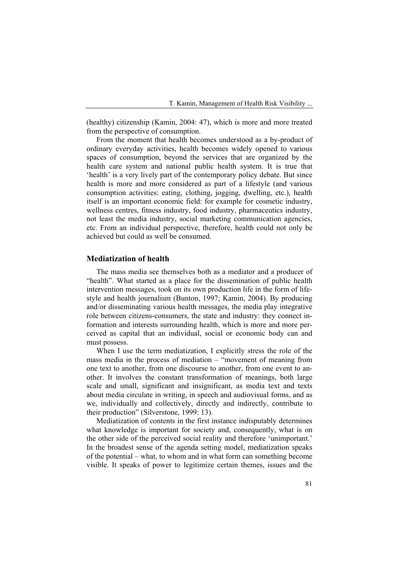(healthy) citizenship (Kamin, 2004: 47), which is more and more treated from the perspective of consumption.

 From the moment that health becomes understood as a by-product of ordinary everyday activities, health becomes widely opened to various spaces of consumption, beyond the services that are organized by the health care system and national public health system. It is true that 'health' is a very lively part of the contemporary policy debate. But since health is more and more considered as part of a lifestyle (and various consumption activities: eating, clothing, jogging, dwelling, etc.), health itself is an important economic field: for example for cosmetic industry, wellness centres, fitness industry, food industry, pharmaceutics industry, not least the media industry, social marketing communication agencies, etc. From an individual perspective, therefore, health could not only be achieved but could as well be consumed.

#### **Mediatization of health**

 The mass media see themselves both as a mediator and a producer of "health". What started as a place for the dissemination of public health intervention messages, took on its own production life in the form of lifestyle and health journalism (Bunton, 1997; Kamin, 2004). By producing and/or disseminating various health messages, the media play integrative role between citizens-consumers, the state and industry: they connect information and interests surrounding health, which is more and more perceived as capital that an individual, social or economic body can and must possess.

 When I use the term mediatization, I explicitly stress the role of the mass media in the process of mediation – "movement of meaning from one text to another, from one discourse to another, from one event to another. It involves the constant transformation of meanings, both large scale and small, significant and insignificant, as media text and texts about media circulate in writing, in speech and audiovisual forms, and as we, individually and collectively, directly and indirectly, contribute to their production" (Silverstone, 1999: 13).

 Mediatization of contents in the first instance indisputably determines what knowledge is important for society and, consequently, what is on the other side of the perceived social reality and therefore 'unimportant.' In the broadest sense of the agenda setting model, mediatization speaks of the potential – what, to whom and in what form can something become visible. It speaks of power to legitimize certain themes, issues and the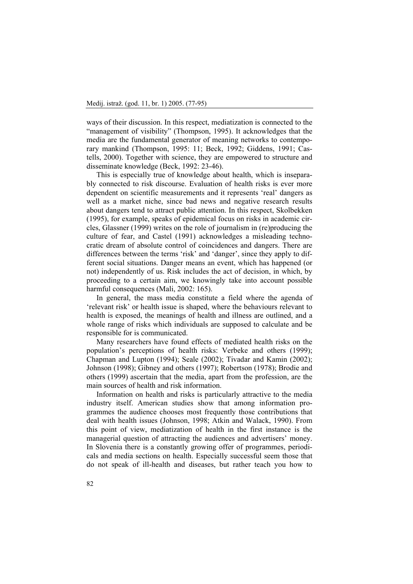ways of their discussion. In this respect, mediatization is connected to the "management of visibility" (Thompson, 1995). It acknowledges that the media are the fundamental generator of meaning networks to contemporary mankind (Thompson, 1995: 11; Beck, 1992; Giddens, 1991; Castells, 2000). Together with science, they are empowered to structure and disseminate knowledge (Beck, 1992: 23-46).

 This is especially true of knowledge about health, which is inseparably connected to risk discourse. Evaluation of health risks is ever more dependent on scientific measurements and it represents 'real' dangers as well as a market niche, since bad news and negative research results about dangers tend to attract public attention. In this respect, Skolbekken (1995), for example, speaks of epidemical focus on risks in academic circles, Glassner (1999) writes on the role of journalism in (re)producing the culture of fear, and Castel (1991) acknowledges a misleading technocratic dream of absolute control of coincidences and dangers. There are differences between the terms 'risk' and 'danger', since they apply to different social situations. Danger means an event, which has happened (or not) independently of us. Risk includes the act of decision, in which, by proceeding to a certain aim, we knowingly take into account possible harmful consequences (Mali, 2002: 165).

 In general, the mass media constitute a field where the agenda of 'relevant risk' or health issue is shaped, where the behaviours relevant to health is exposed, the meanings of health and illness are outlined, and a whole range of risks which individuals are supposed to calculate and be responsible for is communicated.

 Many researchers have found effects of mediated health risks on the population's perceptions of health risks: Verbeke and others (1999); Chapman and Lupton (1994); Seale (2002); Tivadar and Kamin (2002); Johnson (1998); Gibney and others (1997); Robertson (1978); Brodie and others (1999) ascertain that the media, apart from the profession, are the main sources of health and risk information.

 Information on health and risks is particularly attractive to the media industry itself. American studies show that among information programmes the audience chooses most frequently those contributions that deal with health issues (Johnson, 1998; Atkin and Walack, 1990). From this point of view, mediatization of health in the first instance is the managerial question of attracting the audiences and advertisers' money. In Slovenia there is a constantly growing offer of programmes, periodicals and media sections on health. Especially successful seem those that do not speak of ill-health and diseases, but rather teach you how to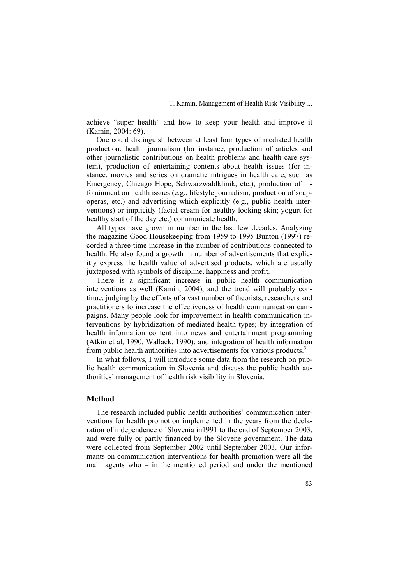achieve "super health" and how to keep your health and improve it (Kamin, 2004: 69).

 One could distinguish between at least four types of mediated health production: health journalism (for instance, production of articles and other journalistic contributions on health problems and health care system), production of entertaining contents about health issues (for instance, movies and series on dramatic intrigues in health care, such as Emergency, Chicago Hope, Schwarzwaldklinik, etc.), production of infotainment on health issues (e.g., lifestyle journalism, production of soapoperas, etc.) and advertising which explicitly (e.g., public health interventions) or implicitly (facial cream for healthy looking skin; yogurt for healthy start of the day etc.) communicate health.

 All types have grown in number in the last few decades. Analyzing the magazine Good Housekeeping from 1959 to 1995 Bunton (1997) recorded a three-time increase in the number of contributions connected to health. He also found a growth in number of advertisements that explicitly express the health value of advertised products, which are usually juxtaposed with symbols of discipline, happiness and profit.

 There is a significant increase in public health communication interventions as well (Kamin, 2004), and the trend will probably continue, judging by the efforts of a vast number of theorists, researchers and practitioners to increase the effectiveness of health communication campaigns. Many people look for improvement in health communication interventions by hybridization of mediated health types; by integration of health information content into news and entertainment programming (Atkin et al, 1990, Wallack, 1990); and integration of health information from public health authorities into advertisements for various products.<sup>3</sup>

 In what follows, I will introduce some data from the research on public health communication in Slovenia and discuss the public health authorities' management of health risk visibility in Slovenia.

### **Method**

 The research included public health authorities' communication interventions for health promotion implemented in the years from the declaration of independence of Slovenia in1991 to the end of September 2003, and were fully or partly financed by the Slovene government. The data were collected from September 2002 until September 2003. Our informants on communication interventions for health promotion were all the main agents who – in the mentioned period and under the mentioned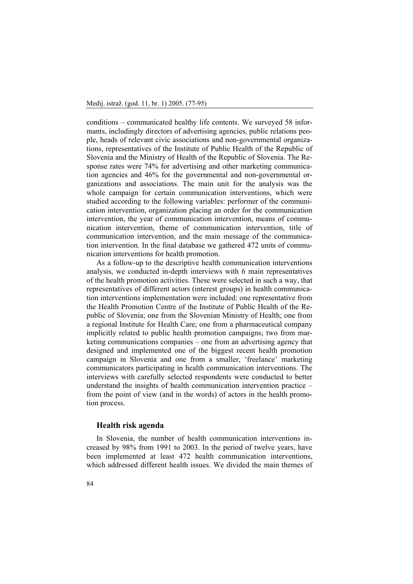conditions – communicated healthy life contents. We surveyed 58 informants, includingly directors of advertising agencies, public relations people, heads of relevant civic associations and non-governmental organizations, representatives of the Institute of Public Health of the Republic of Slovenia and the Ministry of Health of the Republic of Slovenia. The Response rates were 74% for advertising and other marketing communication agencies and 46% for the governmental and non-governmental organizations and associations. The main unit for the analysis was the whole campaign for certain communication interventions, which were studied according to the following variables: performer of the communication intervention, organization placing an order for the communication intervention, the year of communication intervention, means of communication intervention, theme of communication intervention, title of communication intervention, and the main message of the communication intervention. In the final database we gathered 472 units of communication interventions for health promotion.

 As a follow-up to the descriptive health communication interventions analysis, we conducted in-depth interviews with 6 main representatives of the health promotion activities. These were selected in such a way, that representatives of different actors (interest groups) in health communication interventions implementation were included: one representative from the Health Promotion Centre of the Institute of Public Health of the Republic of Slovenia; one from the Slovenian Ministry of Health; one from a regional Institute for Health Care; one from a pharmaceutical company implicitly related to public health promotion campaigns; two from marketing communications companies – one from an advertising agency that designed and implemented one of the biggest recent health promotion campaign in Slovenia and one from a smaller, 'freelance' marketing communicators participating in health communication interventions. The interviews with carefully selected respondents were conducted to better understand the insights of health communication intervention practice – from the point of view (and in the words) of actors in the health promotion process.

#### **Health risk agenda**

 In Slovenia, the number of health communication interventions increased by 98% from 1991 to 2003. In the period of twelve years, have been implemented at least 472 health communication interventions, which addressed different health issues. We divided the main themes of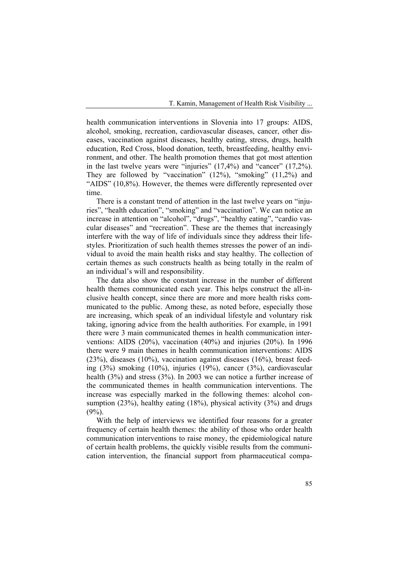health communication interventions in Slovenia into 17 groups: AIDS, alcohol, smoking, recreation, cardiovascular diseases, cancer, other diseases, vaccination against diseases, healthy eating, stress, drugs, health education, Red Cross, blood donation, teeth, breastfeeding, healthy environment, and other. The health promotion themes that got most attention in the last twelve years were "injuries" (17,4%) and "cancer" (17,2%). They are followed by "vaccination" (12%), "smoking" (11,2%) and "AIDS" (10,8%). However, the themes were differently represented over time.

 There is a constant trend of attention in the last twelve years on "injuries", "health education", "smoking" and "vaccination". We can notice an increase in attention on "alcohol", "drugs", "healthy eating", "cardio vascular diseases" and "recreation". These are the themes that increasingly interfere with the way of life of individuals since they address their lifestyles. Prioritization of such health themes stresses the power of an individual to avoid the main health risks and stay healthy. The collection of certain themes as such constructs health as being totally in the realm of an individual's will and responsibility.

 The data also show the constant increase in the number of different health themes communicated each year. This helps construct the all-inclusive health concept, since there are more and more health risks communicated to the public. Among these, as noted before, especially those are increasing, which speak of an individual lifestyle and voluntary risk taking, ignoring advice from the health authorities. For example, in 1991 there were 3 main communicated themes in health communication interventions: AIDS (20%), vaccination (40%) and injuries (20%). In 1996 there were 9 main themes in health communication interventions: AIDS (23%), diseases (10%), vaccination against diseases (16%), breast feeding (3%) smoking (10%), injuries (19%), cancer (3%), cardiovascular health (3%) and stress (3%). In 2003 we can notice a further increase of the communicated themes in health communication interventions. The increase was especially marked in the following themes: alcohol consumption (23%), healthy eating (18%), physical activity (3%) and drugs  $(9\%)$ .

 With the help of interviews we identified four reasons for a greater frequency of certain health themes: the ability of those who order health communication interventions to raise money, the epidemiological nature of certain health problems, the quickly visible results from the communication intervention, the financial support from pharmaceutical compa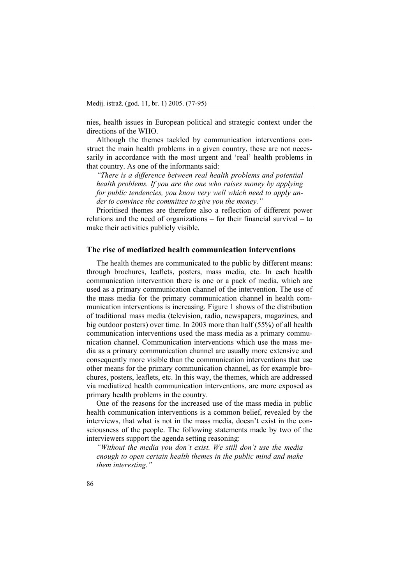nies, health issues in European political and strategic context under the directions of the WHO.

 Although the themes tackled by communication interventions construct the main health problems in a given country, these are not necessarily in accordance with the most urgent and 'real' health problems in that country. As one of the informants said:

*"There is a difference between real health problems and potential health problems. If you are the one who raises money by applying for public tendencies, you know very well which need to apply under to convince the committee to give you the money."* 

 Prioritised themes are therefore also a reflection of different power relations and the need of organizations – for their financial survival – to make their activities publicly visible.

#### **The rise of mediatized health communication interventions**

 The health themes are communicated to the public by different means: through brochures, leaflets, posters, mass media, etc. In each health communication intervention there is one or a pack of media, which are used as a primary communication channel of the intervention. The use of the mass media for the primary communication channel in health communication interventions is increasing. Figure 1 shows of the distribution of traditional mass media (television, radio, newspapers, magazines, and big outdoor posters) over time. In 2003 more than half (55%) of all health communication interventions used the mass media as a primary communication channel. Communication interventions which use the mass media as a primary communication channel are usually more extensive and consequently more visible than the communication interventions that use other means for the primary communication channel, as for example brochures, posters, leaflets, etc. In this way, the themes, which are addressed via mediatized health communication interventions, are more exposed as primary health problems in the country.

 One of the reasons for the increased use of the mass media in public health communication interventions is a common belief, revealed by the interviews, that what is not in the mass media, doesn't exist in the consciousness of the people. The following statements made by two of the interviewers support the agenda setting reasoning:

*"Without the media you don't exist. We still don't use the media enough to open certain health themes in the public mind and make them interesting."*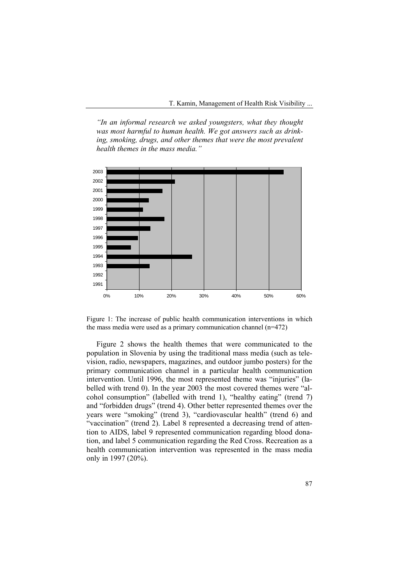*"In an informal research we asked youngsters, what they thought was most harmful to human health. We got answers such as drinking, smoking, drugs, and other themes that were the most prevalent health themes in the mass media."* 



Figure 1: The increase of public health communication interventions in which the mass media were used as a primary communication channel (n=472)

 Figure 2 shows the health themes that were communicated to the population in Slovenia by using the traditional mass media (such as television, radio, newspapers, magazines, and outdoor jumbo posters) for the primary communication channel in a particular health communication intervention. Until 1996, the most represented theme was "injuries" (labelled with trend 0). In the year 2003 the most covered themes were "alcohol consumption" (labelled with trend 1), "healthy eating" (trend 7) and "forbidden drugs" (trend 4). Other better represented themes over the years were "smoking" (trend 3), "cardiovascular health" (trend 6) and "vaccination" (trend 2). Label 8 represented a decreasing trend of attention to AIDS, label 9 represented communication regarding blood donation, and label 5 communication regarding the Red Cross. Recreation as a health communication intervention was represented in the mass media only in 1997 (20%).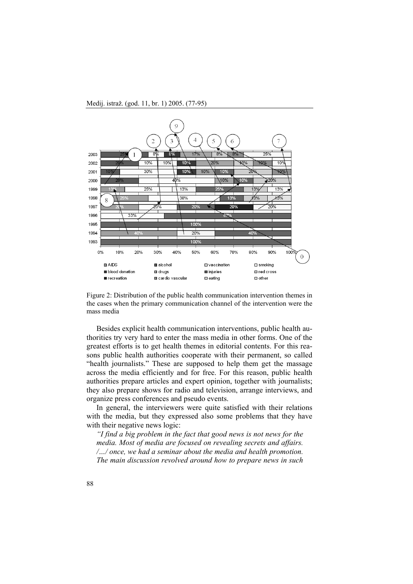



 Besides explicit health communication interventions, public health authorities try very hard to enter the mass media in other forms. One of the greatest efforts is to get health themes in editorial contents. For this reasons public health authorities cooperate with their permanent, so called "health journalists." These are supposed to help them get the massage across the media efficiently and for free. For this reason, public health authorities prepare articles and expert opinion, together with journalists; they also prepare shows for radio and television, arrange interviews, and organize press conferences and pseudo events.

 In general, the interviewers were quite satisfied with their relations with the media, but they expressed also some problems that they have with their negative news logic:

*"I find a big problem in the fact that good news is not news for the media. Most of media are focused on revealing secrets and affairs. /…/ once, we had a seminar about the media and health promotion. The main discussion revolved around how to prepare news in such*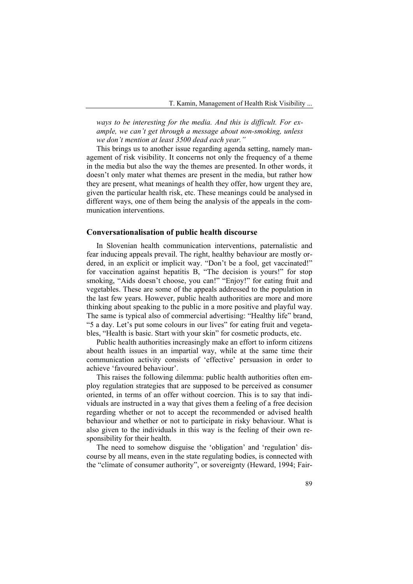*ways to be interesting for the media. And this is difficult. For example, we can't get through a message about non-smoking, unless we don't mention at least 3500 dead each year."* 

 This brings us to another issue regarding agenda setting, namely management of risk visibility. It concerns not only the frequency of a theme in the media but also the way the themes are presented. In other words, it doesn't only mater what themes are present in the media, but rather how they are present, what meanings of health they offer, how urgent they are, given the particular health risk, etc. These meanings could be analysed in different ways, one of them being the analysis of the appeals in the communication interventions.

#### **Conversationalisation of public health discourse**

 In Slovenian health communication interventions, paternalistic and fear inducing appeals prevail. The right, healthy behaviour are mostly ordered, in an explicit or implicit way. "Don't be a fool, get vaccinated!" for vaccination against hepatitis B, "The decision is yours!" for stop smoking, "Aids doesn't choose, you can!" "Enjoy!" for eating fruit and vegetables. These are some of the appeals addressed to the population in the last few years. However, public health authorities are more and more thinking about speaking to the public in a more positive and playful way. The same is typical also of commercial advertising: "Healthy life" brand, "5 a day. Let's put some colours in our lives" for eating fruit and vegetables, "Health is basic. Start with your skin" for cosmetic products, etc.

 Public health authorities increasingly make an effort to inform citizens about health issues in an impartial way, while at the same time their communication activity consists of 'effective' persuasion in order to achieve 'favoured behaviour'.

 This raises the following dilemma: public health authorities often employ regulation strategies that are supposed to be perceived as consumer oriented, in terms of an offer without coercion. This is to say that individuals are instructed in a way that gives them a feeling of a free decision regarding whether or not to accept the recommended or advised health behaviour and whether or not to participate in risky behaviour. What is also given to the individuals in this way is the feeling of their own responsibility for their health.

 The need to somehow disguise the 'obligation' and 'regulation' discourse by all means, even in the state regulating bodies, is connected with the "climate of consumer authority", or sovereignty (Heward, 1994; Fair-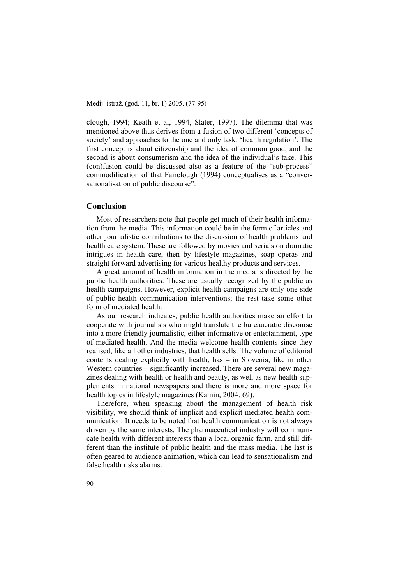clough, 1994; Keath et al, 1994, Slater, 1997). The dilemma that was mentioned above thus derives from a fusion of two different 'concepts of society' and approaches to the one and only task: 'health regulation'. The first concept is about citizenship and the idea of common good, and the second is about consumerism and the idea of the individual's take. This (con)fusion could be discussed also as a feature of the "sub-process" commodification of that Fairclough (1994) conceptualises as a "conversationalisation of public discourse".

#### **Conclusion**

 Most of researchers note that people get much of their health information from the media. This information could be in the form of articles and other journalistic contributions to the discussion of health problems and health care system. These are followed by movies and serials on dramatic intrigues in health care, then by lifestyle magazines, soap operas and straight forward advertising for various healthy products and services.

 A great amount of health information in the media is directed by the public health authorities. These are usually recognized by the public as health campaigns. However, explicit health campaigns are only one side of public health communication interventions; the rest take some other form of mediated health.

 As our research indicates, public health authorities make an effort to cooperate with journalists who might translate the bureaucratic discourse into a more friendly journalistic, either informative or entertainment, type of mediated health. And the media welcome health contents since they realised, like all other industries, that health sells. The volume of editorial contents dealing explicitly with health, has – in Slovenia, like in other Western countries – significantly increased. There are several new magazines dealing with health or health and beauty, as well as new health supplements in national newspapers and there is more and more space for health topics in lifestyle magazines (Kamin, 2004: 69).

 Therefore, when speaking about the management of health risk visibility, we should think of implicit and explicit mediated health communication. It needs to be noted that health communication is not always driven by the same interests. The pharmaceutical industry will communicate health with different interests than a local organic farm, and still different than the institute of public health and the mass media. The last is often geared to audience animation, which can lead to sensationalism and false health risks alarms.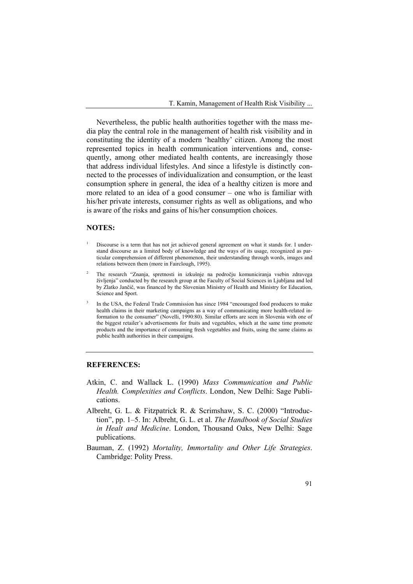Nevertheless, the public health authorities together with the mass media play the central role in the management of health risk visibility and in constituting the identity of a modern 'healthy' citizen. Among the most represented topics in health communication interventions and, consequently, among other mediated health contents, are increasingly those that address individual lifestyles. And since a lifestyle is distinctly connected to the processes of individualization and consumption, or the least consumption sphere in general, the idea of a healthy citizen is more and more related to an idea of a good consumer – one who is familiar with his/her private interests, consumer rights as well as obligations, and who is aware of the risks and gains of his/her consumption choices.

#### **NOTES:**

3

- 1 Discourse is a term that has not jet achieved general agreement on what it stands for. I understand discourse as a limited body of knowledge and the ways of its usage, recognized as particular comprehension of different phenomenon, their understanding through words, images and relations between them (more in Fairclough, 1995).
- 2 The research "Znanja, spretnosti in izkušnje na področju komuniciranja vsebin zdravega življenja" conducted by the research group at the Faculty of Social Sciences in Ljubljana and led by Zlatko Jančič, was financed by the Slovenian Ministry of Health and Ministry for Education, Science and Sport.
- In the USA, the Federal Trade Commission has since 1984 "encouraged food producers to make health claims in their marketing campaigns as a way of communicating more health-related information to the consumer" (Novelli, 1990:80). Similar efforts are seen in Slovenia with one of the biggest retailer's advertisements for fruits and vegetables, which at the same time promote products and the importance of consuming fresh vegetables and fruits, using the same claims as public health authorities in their campaigns.

## **REFERENCES:**

- Atkin, C. and Wallack L. (1990) *Mass Communication and Public Health. Complexities and Conflicts*. London, New Delhi: Sage Publications.
- Albreht, G. L. & Fitzpatrick R. & Scrimshaw, S. C. (2000) "Introduction", pp. 1–5. In: Albreht, G. L. et al. *The Handbook of Social Studies in Healt and Medicine*. London, Thousand Oaks, New Delhi: Sage publications.
- Bauman, Z. (1992) *Mortality, Immortality and Other Life Strategies*. Cambridge: Polity Press.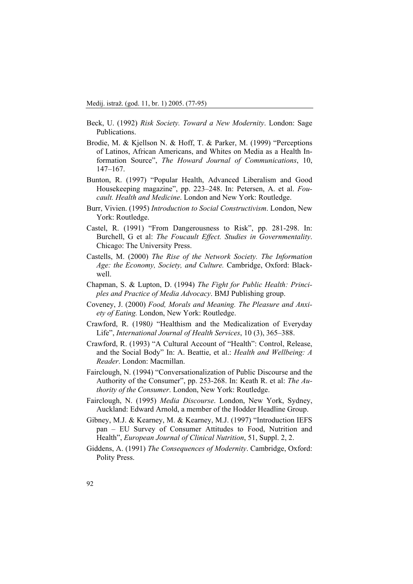- Beck, U. (1992) *Risk Society. Toward a New Modernity*. London: Sage Publications.
- Brodie, M. & Kjellson N. & Hoff, T. & Parker, M. (1999) "Perceptions of Latinos, African Americans, and Whites on Media as a Health Information Source", *The Howard Journal of Communications*, 10, 147–167.
- Bunton, R. (1997) "Popular Health, Advanced Liberalism and Good Housekeeping magazine", pp. 223–248. In: Petersen, A. et al. *Foucault. Health and Medicine*. London and New York: Routledge.
- Burr, Vivien. (1995) *Introduction to Social Constructivism*. London, New York: Routledge.
- Castel, R. (1991) "From Dangerousness to Risk", pp. 281-298. In: Burchell, G et al: *The Foucault Effect. Studies in Governmentality*. Chicago: The University Press.
- Castells, M. (2000) *The Rise of the Network Society. The Information Age: the Economy, Society, and Culture.* Cambridge, Oxford: Blackwell.
- Chapman, S. & Lupton, D. (1994) *The Fight for Public Health: Principles and Practice of Media Advocacy*. BMJ Publishing group.
- Coveney, J. (2000) *Food, Morals and Meaning. The Pleasure and Anxiety of Eating.* London, New York: Routledge.
- Crawford, R. (1980*)* "Healthism and the Medicalization of Everyday Life", *International Journal of Health Services*, 10 (3), 365–388.
- Crawford, R. (1993) "A Cultural Account of "Health": Control, Release, and the Social Body" In: A. Beattie, et al.: *Health and Wellbeing: A Reader*. London: Macmillan.
- Fairclough, N. (1994) "Conversationalization of Public Discourse and the Authority of the Consumer", pp. 253-268. In: Keath R. et al: *The Authority of the Consumer*. London, New York: Routledge.
- Fairclough, N. (1995) *Media Discourse*. London, New York, Sydney, Auckland: Edward Arnold, a member of the Hodder Headline Group.
- Gibney, M.J. & Kearney, M. & Kearney, M.J. (1997) "Introduction IEFS pan – EU Survey of Consumer Attitudes to Food, Nutrition and Health", *European Journal of Clinical Nutrition*, 51, Suppl. 2, 2.
- Giddens, A. (1991) *The Consequences of Modernity*. Cambridge, Oxford: Polity Press.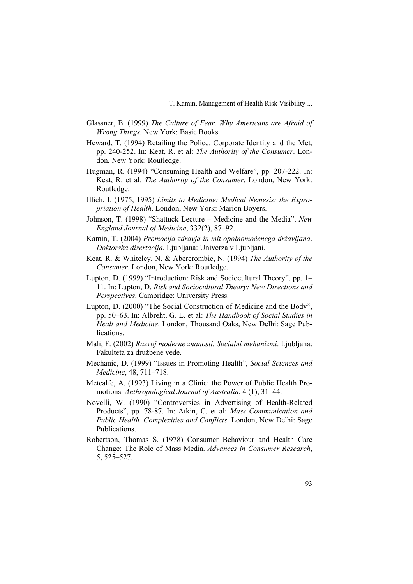- Glassner, B. (1999) *The Culture of Fear. Why Americans are Afraid of Wrong Things*. New York: Basic Books.
- Heward, T. (1994) Retailing the Police. Corporate Identity and the Met, pp. 240-252. In: Keat, R. et al: *The Authority of the Consumer*. London, New York: Routledge.
- Hugman, R. (1994) "Consuming Health and Welfare", pp. 207-222. In: Keat, R. et al: *The Authority of the Consumer*. London, New York: Routledge.
- Illich, I. (1975, 1995) *Limits to Medicine: Medical Nemesis: the Expropriation of Health*. London, New York: Marion Boyers.
- Johnson, T. (1998) "Shattuck Lecture Medicine and the Media", *New England Journal of Medicine*, 332(2), 87–92.
- Kamin, T. (2004) *Promocija zdravja in mit opolnomočenega državljana*. *Doktorska disertacija.* Ljubljana: Univerza v Ljubljani.
- Keat, R. & Whiteley, N. & Abercrombie, N. (1994) *The Authority of the Consumer*. London, New York: Routledge.
- Lupton, D. (1999) "Introduction: Risk and Sociocultural Theory", pp. 1– 11. In: Lupton, D. *Risk and Sociocultural Theory: New Directions and Perspectives*. Cambridge: University Press.
- Lupton, D. (2000) "The Social Construction of Medicine and the Body", pp. 50–63. In: Albreht, G. L. et al: *The Handbook of Social Studies in Healt and Medicine*. London, Thousand Oaks, New Delhi: Sage Publications.
- Mali, F. (2002) *Razvoj moderne znanosti. Socialni mehanizmi*. Ljubljana: Fakulteta za družbene vede.
- Mechanic, D. (1999) "Issues in Promoting Health", *Social Sciences and Medicine*, 48, 711–718.
- Metcalfe, A. (1993) Living in a Clinic: the Power of Public Health Promotions. *Anthropological Journal of Australia*, 4 (1), 31–44.
- Novelli, W. (1990) "Controversies in Advertising of Health-Related Products", pp. 78-87. In: Atkin, C. et al: *Mass Communication and Public Health. Complexities and Conflicts*. London, New Delhi: Sage Publications.
- Robertson, Thomas S. (1978) Consumer Behaviour and Health Care Change: The Role of Mass Media. *Advances in Consumer Research*, 5, 525–527.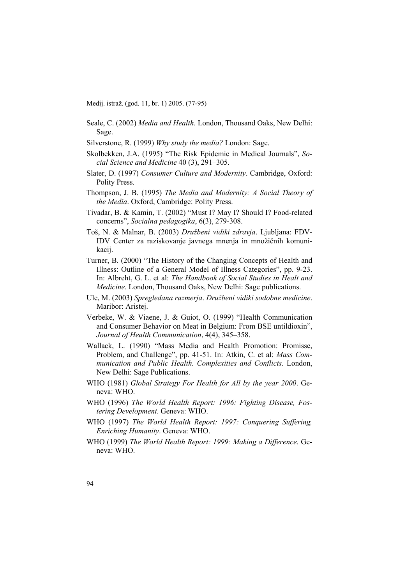- Seale, C. (2002) *Media and Health.* London, Thousand Oaks, New Delhi: Sage.
- Silverstone, R. (1999) *Why study the media?* London: Sage.
- Skolbekken, J.A. (1995) "The Risk Epidemic in Medical Journals", *Social Science and Medicine* 40 (3), 291–305.
- Slater, D. (1997) *Consumer Culture and Modernity*. Cambridge, Oxford: Polity Press.
- Thompson, J. B. (1995) *The Media and Modernity: A Social Theory of the Media*. Oxford, Cambridge: Polity Press.
- Tivadar, B. & Kamin, T. (2002) "Must I? May I? Should I? Food-related concerns", *Socialna pedagogika*, 6(3), 279-308.
- Toš, N. & Malnar, B. (2003) *Družbeni vidiki zdravja*. Ljubljana: FDV-IDV Center za raziskovanje javnega mnenja in množičnih komunikacij.
- Turner, B. (2000) "The History of the Changing Concepts of Health and Illness: Outline of a General Model of Illness Categories", pp. 9-23. In: Albreht, G. L. et al: *The Handbook of Social Studies in Healt and Medicine*. London, Thousand Oaks, New Delhi: Sage publications.
- Ule, M. (2003) *Spregledana razmerja*. *Družbeni vidiki sodobne medicine*. Maribor: Aristej.
- Verbeke, W. & Viaene, J. & Guiot, O. (1999) "Health Communication and Consumer Behavior on Meat in Belgium: From BSE untildioxin", *Journal of Health Communication*, 4(4), 345–358.
- Wallack, L. (1990) "Mass Media and Health Promotion: Promisse, Problem, and Challenge", pp. 41-51. In: Atkin, C. et al: *Mass Communication and Public Health. Complexities and Conflicts.* London, New Delhi: Sage Publications.
- WHO (1981) *Global Strategy For Health for All by the year 2000*. Geneva: WHO.
- WHO (1996) *The World Health Report: 1996: Fighting Disease, Fostering Development*. Geneva: WHO.
- WHO (1997) *The World Health Report: 1997: Conquering Suffering, Enriching Humanity*. Geneva: WHO.
- WHO (1999) *The World Health Report: 1999: Making a Difference.* Geneva: WHO.